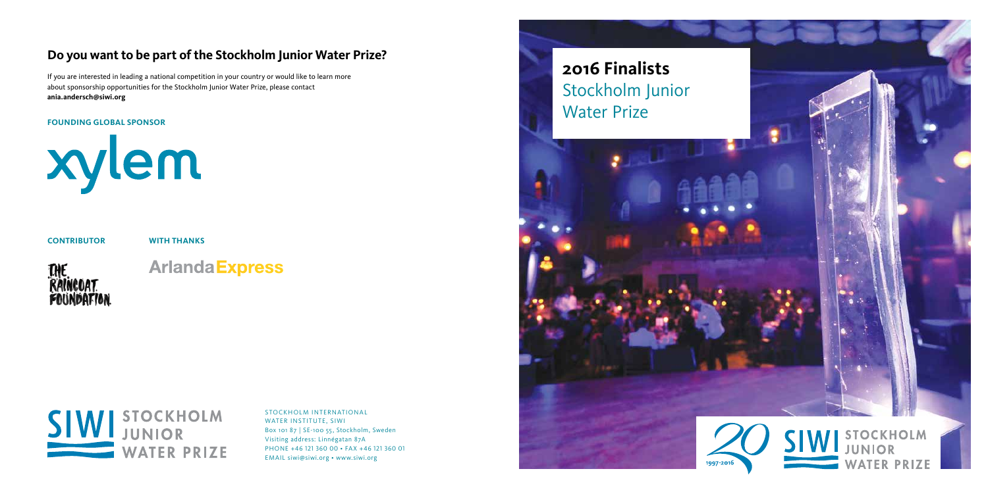## **Do you want to be part of the Stockholm Junior Water Prize?**

If you are interested in leading a national competition in your country or would like to learn more about sponsorship opportunities for the Stockholm Junior Water Prize, please contact **ania.andersch@siwi.org**

## **FOUNDING GLOBAL SPONSOR**



## **CONTRIBUTOR WITH THANKS**

THE<br>RAINCOAT<br>FOUNDATION

## **Arlanda Express**



STOCKHOLM INTERNATIONAL WATER INSTITUTE, SIWI Box 101 87 | SE-100 55, Stockholm, Sweden Visiting address: Linnégatan 87A PHONE +46 121 360 00 • FAX +46 121 360 01 EMAIL siwi@siwi.org • www.siwi.org

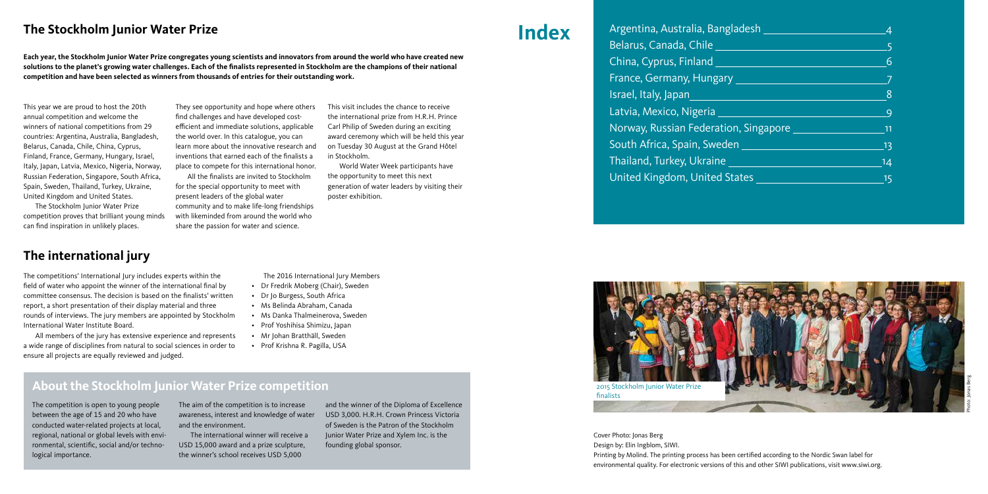**Each year, the Stockholm Junior Water Prize congregates young scientists and innovators from around the world who have created new solutions to the planet's growing water challenges. Each of the finalists represented in Stockholm are the champions of their national competition and have been selected as winners from thousands of entries for their outstanding work.**

## **The Stockholm Junior Water Prize Index**

The competitions' International Jury includes experts within the field of water who appoint the winner of the international final by committee consensus. The decision is based on the finalists' written report, a short presentation of their display material and three rounds of interviews. The jury members are appointed by Stockholm International Water Institute Board.

 All members of the jury has extensive experience and represents a wide range of disciplines from natural to social sciences in order to ensure all projects are equally reviewed and judged.

This year we are proud to host the 20th annual competition and welcome the winners of national competitions from 29 countries: Argentina, Australia, Bangladesh, Belarus, Canada, Chile, China, Cyprus, Finland, France, Germany, Hungary, Israel, Italy, Japan, Latvia, Mexico, Nigeria, Norway, Russian Federation, Singapore, South Africa, Spain, Sweden, Thailand, Turkey, Ukraine, United Kingdom and United States.

 The Stockholm Junior Water Prize competition proves that brilliant young minds can find inspiration in unlikely places.

They see opportunity and hope where others find challenges and have developed costefficient and immediate solutions, applicable the world over. In this catalogue, you can learn more about the innovative research and inventions that earned each of the finalists a place to compete for this international honor.

 All the finalists are invited to Stockholm for the special opportunity to meet with present leaders of the global water community and to make life-long friendships with likeminded from around the world who share the passion for water and science.

This visit includes the chance to receive the international prize from H.R.H. Prince Carl Philip of Sweden during an exciting award ceremony which will be held this year on Tuesday 30 August at the Grand Hôtel in Stockholm.

 World Water Week participants have the opportunity to meet this next generation of water leaders by visiting their poster exhibition.

## **The international jury**

The 2016 International Jury Members

- Dr Fredrik Moberg (Chair), Sweden
- Dr Jo Burgess, South Africa
- Ms Belinda Abraham, Canada
- Ms Danka Thalmeinerova, Sweden
- Prof Yoshihisa Shimizu, Japan
- Mr Johan Bratthäll, Sweden
- Prof Krishna R. Pagilla, USA

The competition is open to young people between the age of 15 and 20 who have conducted water-related projects at local, regional, national or global levels with environmental, scientific, social and/or technological importance.

The aim of the competition is to increase awareness, interest and knowledge of water and the environment.

 The international winner will receive a USD 15,000 award and a prize sculpture, the winner's school receives USD 5,000

and the winner of the Diploma of Excellence USD 3,000. H.R.H. Crown Princess Victoria of Sweden is the Patron of the Stockholm Junior Water Prize and Xylem Inc. is the founding global sponsor.

Argentina, Australia, Banglad Belarus, Canada, Chile 5 China, Cyprus, Finland 6 France, Germany, Hungary 7 Israel, Italy, Japan Latvia, Mexico, Nigeria 9 Norway, Russian Federation, South Africa, Spain, Sweden Thailand, Turkey, Ukraine United Kingdom, United State

## **About the Stockholm Junior Water Prize competition**

Cover Photo: Jonas Berg Design by: Elin Ingblom, SIWI. Printing by Molind. The printing process has been certified according to the Nordic Swan label for environmental quality. For electronic versions of this and other SIWI publications, visit www.siwi.org.

| esh          | 4   |
|--------------|-----|
|              | 5   |
|              | 6   |
|              |     |
|              | 8   |
|              | 9   |
| $S$ ingapore | 11  |
|              | .13 |
|              | 14  |
| ξŚ           | 15  |

Photo: Jonas Berg

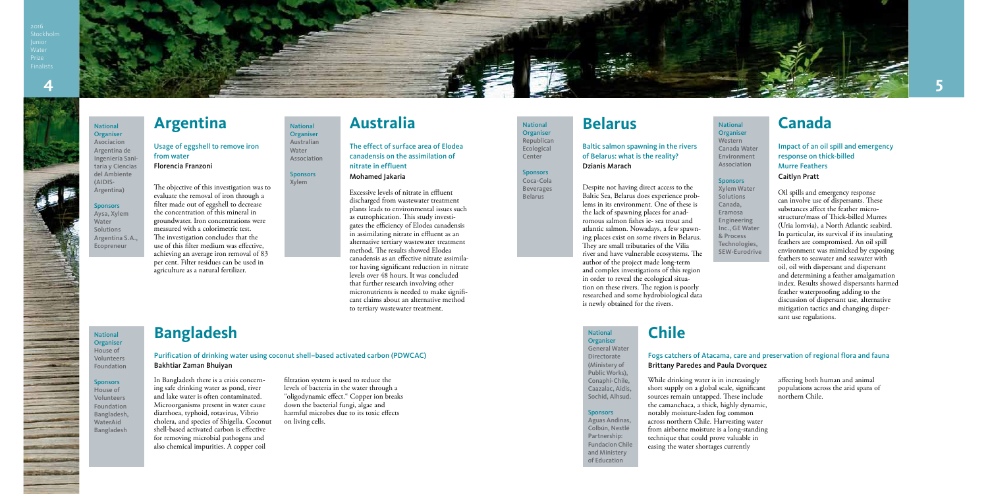Stockholr



### **National Organiser**

The objective of this investigation was to evaluate the removal of iron through a filter made out of eggshell to decrease the concentration of this mineral in groundwater. Iron concentrations were measured with a colorimetric test. The investigation concludes that the use of this filter medium was effective, achieving an average iron removal of 83 per cent. Filter residues can be used in agriculture as a natural fertilizer.

### Despite not having direct access to the Baltic Sea, Belarus does experience problems in its environment. One of these is the lack of spawning places for anadromous salmon fishes ie- sea trout and atlantic salmon. Nowadays, a few spawning places exist on some rivers in Belarus. They are small tributaries of the Vilia river and have vulnerable ecosystems. The author of the project made long-term and complex investigations of this region in order to reveal the ecological situation on these rivers. The region is poorly researched and some hydrobiological data is newly obtained for the rivers.

Usage of eggshell to remove iron from water Florencia Franzoni

Baltic salmon spawning in the rivers of Belarus: what is the reality? Dzianis Marach

Excessive levels of nitrate in effluent discharged from wastewater treatment plants leads to environmental issues such as eutrophication. This study investigates the efficiency of Elodea canadensis in assimilating nitrate in effluent as an alternative tertiary wastewater treatment method. The results showed Elodea canadensis as an effective nitrate assimilator having significant reduction in nitrate levels over 48 hours. It was concluded that further research involving other micronutrients is needed to make significant claims about an alternative method to tertiary wastewater treatment.

While drinking water is in increasi short supply on a global scale, sign sources remain untapped. These in the camanchaca, a thick, highly dy notably moisture-laden fog commo across northern Chile. Harvesting from airborne moisture is a long-st technique that could prove valuabl easing the water shortages currently

Association **Sponsors** 

> Oil spills and emergency response can involve use of dispersants. These substances affect the feather microstructure/mass of Thick-billed Murres (Uria lomvia), a North Atlantic seabird. In particular, its survival if its insulating feathers are compromised. An oil spill environment was mimicked by exposing feathers to seawater and seawater with oil, oil with dispersant and dispersant and determining a feather amalgamation index. Results showed dispersants harmed feather waterproofing adding to the discussion of dispersant use, alternative mitigation tactics and changing dispersant use regulations.

**National Organiser** Republican Ecological Center **Sponsors** Coca-Cola Beverages Belarus

### **National Organiser** House of Volunteers Foundation

### **Sponsors**

**Organiser** General Water Directorate (Ministery of Public Works), Conaphi-Chile, Caazalac, Aidis, Sochid, Alhsud.

### **Sponsors**

The effect of surface area of Elodea canadensis on the assimilation of nitrate in effluent Mohamed Jakaria

Impact of an oil spill and emergency response on thick-billed Murre Feathers Caitlyn Pratt

In Bangladesh there is a crisis concerning safe drinking water as pond, river and lake water is often contaminated. Microorganisms present in water cause diarrhoea, typhoid, rotavirus, Vibrio cholera, and species of Shigella. Coconut shell-based activated carbon is effective for removing microbial pathogens and also chemical impurities. A copper coil

filtration system is used to reduce the levels of bacteria in the water through a "oligodynamic effect." Copper ion breaks down the bacterial fungi, algae and harmful microbes due to its toxic effects on living cells.

| ngly<br>ificant<br>clude<br>namic, | affecting both human and animal<br>populations across the arid spans of<br>northern Chile. |
|------------------------------------|--------------------------------------------------------------------------------------------|
| эn                                 |                                                                                            |
| water                              |                                                                                            |
| anding                             |                                                                                            |
| e in                               |                                                                                            |
| V                                  |                                                                                            |

Purification of drinking water using coconut shell–based activated carbon (PDWCAC) Bakhtiar Zaman Bhuiyan

## Fogs catchers of Atacama, care and preservation of regional flora and fauna

Brittany Paredes and Paula Dvorquez

### National **Organiser** Australian Water

Xylem

## National Organiser Western Canada Water Environment Association Sponsors

Xylem Water **Solutions** Canada, Eramosa Engineering Inc., GE Water & Process Technologies, SEW-Eurodrive

Asociacion Argentina de Ingeniería Sanitaria y Ciencias del Ambiente (AIDIS-Argentina)

### **Bangladesh Chile** National

### Sponsors

Aysa, Xylem Water Solutions Argentina S.A., Ecopreneur

## Argentina **Mational Australia Australia Belarus Relational Canada**

House of Volunteers Foundation Bangladesh, WaterAid Bangladesh

**STATISTICS** 

Aguas Andinas, Colbún, Nestlé Partnership: Fundacion Chile and Ministery of Education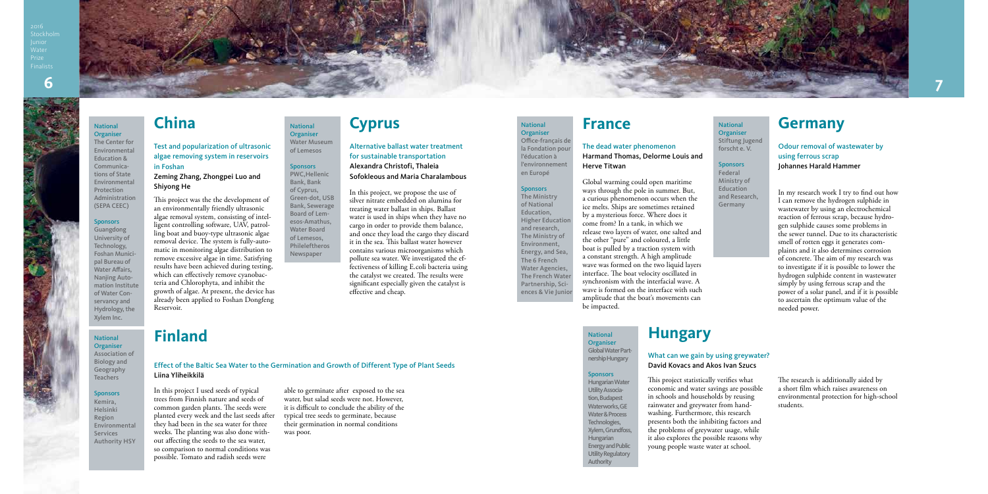

This project was the the development of an environmentally friendly ultrasonic algae removal system, consisting of intelligent controlling software, UAV, patrolling boat and buoy-type ultrasonic algae removal device. The system is fully-automatic in monitoring algae distribution to remove excessive algae in time. Satisfying results have been achieved during testing, which can effectively remove cyanobacteria and Chlorophyta, and inhibit the growth of algae. At present, the device has already been applied to Foshan Dongfeng Reservoir.

Shiyong He **In this project**, we propose the use of Cyprus, In this project, we propose the use of silver nitrate embedded on alumina for treating water ballast in ships. Ballast water is used in ships when they have no cargo in order to provide them balance, and once they load the cargo they discard it in the sea. This ballast water however contains various microorganisms which pollute sea water. We investigated the effectiveness of killing E.coli bacteria using the catalyst we created. The results were significant especially given the catalyst is effective and cheap.

Test and popularization of ultrasonic algae removing system in reservoirs in Foshan

## Zeming Zhang, Zhongpei Luo and

Alternative ballast water treatment for sustainable transportation Alexandra Christofi, Thaleia Sofokleous and Maria Charalambous

**National** Organiser

### **Sponsors** Kemira,

In this project I used seeds of typical trees from Finnish nature and seeds of common garden plants. The seeds were planted every week and the last seeds after they had been in the sea water for three weeks. The planting was also done without affecting the seeds to the sea water, so comparison to normal conditions was possible. Tomato and radish seeds were

able to germinate after exposed to the sea water, but salad seeds were not. However, it is difficult to conclude the ability of the typical tree seeds to germinate, because their germination in normal conditions was poor.

Effect of the Baltic Sea Water to the Germination and Growth of Different Type of Plant Seeds Liina Yliheikkilä

## **China Cyprus**

## **Finland**

National **Organiser** Water Museum of Lemesos **Sponsors** PWC,Hellenic Bank, Bank of Cyprus, Green-dot, USB Bank, Sewerage Board of Lemesos-Amathus, Water Board of Lemesos, Phileleftheros Newspaper

**Organiser** Stiftung Jugend

Stockholr



The Center for Environmental Education & Communications of State Environmental Protection Administration (SEPA CEEC)

### **Sponsors**

**National Organiser** 

> National **Organiser**

National **Organiser** Office-français de la Fondation pou l'éducation à l'environnement en Europé **Sponsors** The Ministry of National Education, Higher Education and research, The Ministry of Environment, Energy, and Sea, The 6 French Water Agencies, The French Wate Partnership, Sciences & Vie Junio

Guangdong University of Technology, Foshan Municipal Bureau of Water Affairs, Nanjing Automation Institute of Water Conservancy and Hydrology, the Xylem Inc.

Association of Biology and Geography Teachers

Helsinki Region Environmental **Services** Authority HSY

Global warming could open maritime ways through the pole in summer. But, a curious phenomenon occurs when the ice melts. Ships are sometimes retained by a mysterious force. Where does it come from? In a tank, in which we release two layers of water, one salted and the other "pure" and coloured, a little boat is pulled by a traction system with a constant strength. A high amplitude wave was formed on the two liquid layers interface. The boat velocity oscillated in synchronism with the interfacial wave. A wave is formed on the interface with such amplitude that the boat's movements can be impacted.

The dead water phenomenon Harmand Thomas, Delorme Louis and Herve Titwan

> In my research work I try to find out how I can remove the hydrogen sulphide in wastewater by using an electrochemical reaction of ferrous scrap, because hydrogen sulphide causes some problems in the sewer tunnel. Due to its characteristic smell of rotten eggs it generates complaints and it also determines corrosion of concrete. The aim of my research was to investigate if it is possible to lower the hydrogen sulphide content in wastewater simply by using ferrous scrap and the power of a solar panel, and if it is possible to ascertain the optimum value of the needed power.

Odour removal of wastewater by using ferrous scrap Johannes Harald Hammer

This project statistically verifies what economic and water savings are possible in schools and households by reusing rainwater and greywater from handwashing. Furthermore, this research presents both the inhibiting factors and the problems of greywater usage, while it also explores the possible reasons why young people waste water at school.

The research is additionally aided by a short film which raises awareness on environmental protection for high-school students.

## What can we gain by using greywater? David Kovacs and Akos Ivan Szucs

### **Sponsors**

## **Hungary**

National

forscht e. V. **Sponsors** Federal Ministry of Education

and Research, Germany

## **France Germany**

Global Water Partnership Hungary

Hungarian Water Utility Association, Budapest Waterworks, GE Water & Process Technologies, Xylem, Grundfoss, Hungarian Energy and Public Utility Regulatory Authority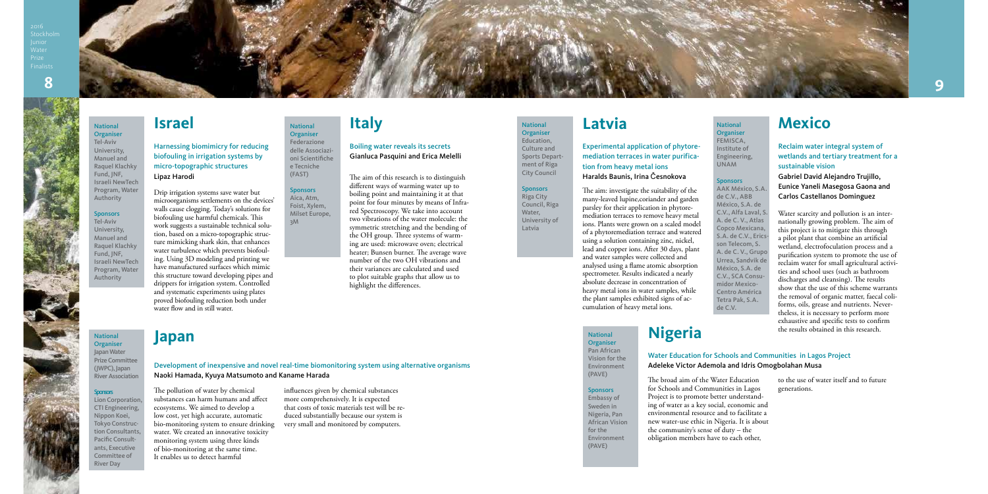

## **Latvia Mexico**

Harnessing biomimicry for reducing biofouling in irrigation systems by micro-topographic structures Lipaz Harodi **The aim of this research is to distinguish** The aim of this research is to distinguish

Drip irrigation systems save water but microorganisms settlements on the devices' walls cause clogging. Today's solutions for biofouling use harmful chemicals. This work suggests a sustainable technical solution, based on a micro-topographic structure mimicking shark skin, that enhances water turbulence which prevents biofouling. Using 3D modeling and printing we have manufactured surfaces which mimic this structure toward developing pipes and drippers for irrigation system. Controlled and systematic experiments using plates proved biofouling reduction both under water flow and in still water.

different ways of warming water up to boiling point and maintaining it at that point for four minutes by means of Infrared Spectroscopy. We take into account two vibrations of the water molecule: the symmetric stretching and the bending of the OH group. Three systems of warming are used: microwave oven; electrical heater; Bunsen burner. The average wave number of the two OH vibrations and their variances are calculated and used to plot suitable graphs that allow us to highlight the differences.

Boiling water reveals its secrets Gianluca Pasquini and Erica Melelli

The pollution of water by chemical

substances can harm humans and affect ecosystems. We aimed to develop a low cost, yet high accurate, automatic bio-monitoring system to ensure drinking water. We created an innovative toxicity monitoring system using three kinds of bio-monitoring at the same time.

It enables us to detect harmful

influences given by chemical substances more comprehensively. It is expected that costs of toxic materials test will be reduced substantially because our system is

very small and monitored by computers.

Development of inexpensive and novel real-time biomonitoring system using alternative organisms

Naoki Hamada, Kyuya Matsumoto and Kaname Harada

## **Israel Italy**

## **Japan**

National **Organiser** Federazione delle Associazioni Scientifiche e Tecniche (FAST) **Sponsors** Aica, Atm, Foist, Xylem, Milset Europe,

3M

Stockhol

### National Organiser

Tel-Aviv University, Manuel and Raquel Klachky Fund, JNF, Israeli NewTech Program, Water Authority

### **Sponsors**

Tel-Aviv University, Manuel and Raquel Klachky Fund, JNF, Israeli NewTech Program, Water Authority

National **Organiser** Japan Water (JWPC), Japan

## **Sponsors**

Prize Committee River Association

### **National Organiser** FEMISCA, Institute of Engineering, UNAM

**Sponsors** 

Lion Corporation, CTI Engineering, Nippon Koei, Tokyo Construction Consultants, Pacific Consultants, Executive Committee of River Day

The aim: investigate the suitability of the many-leaved lupine,coriander and garden parsley for their application in phytoremediation terraces to remove heavy metal ions. Plants were grown on a scaled model of a phytoremediation terrace and watered using a solution containing zinc, nickel, lead and copper ions. After 30 days, plant and water samples were collected and analysed using a flame atomic absorption spectrometer. Results indicated a nearly absolute decrease in concentration of heavy metal ions in water samples, while the plant samples exhibited signs of accumulation of heavy metal ions.

Experimental application of phytoremediation terraces in water purification from heavy metal ions Haralds Baunis, Irina Česnokova

> Water scarcity and pollution is an internationally growing problem. The aim of this project is to mitigate this through a pilot plant that combine an artificial wetland, electrofoculation process and a purification system to promote the use of reclaim water for small agricultural activities and school uses (such as bathroom discharges and cleansing). The results show that the use of this scheme warrants the removal of organic matter, faecal coliforms, oils, grease and nutrients. Nevertheless, it is necessary to perform more exhaustive and specific tests to confirm the results obtained in this research.

Reclaim water integral system of wetlands and tertiary treatment for a sustainable vision

Gabriel David Alejandro Trujillo, Eunice Yaneli Masegosa Gaona and Carlos Castellanos Dominguez

The broad aim of the Water Education for Schools and Communities in Lagos Project is to promote better understanding of water as a key social, economic and environmental resource and to facilitate a new water-use ethic in Nigeria. It is about the community's sense of duty – the obligation members have to each other, to the use of water itself and to future generations.

Water Education for Schools and Communities in Lagos Project Adeleke Victor Ademola and Idris Omogbolahan Musa

Pan African Vision for the Environment (PAVE)

## **Sponsors**

Embassy of Sweden in Nigeria, Pan African Vision for the Environment (PAVE)

National **Organiser** Education, Culture and Sports Department of Riga City Council **Sponsors** Riga City Council, Riga Water, University of Latvia

AAK México, S.A. de C.V., ABB México, S.A. de C.V., Alfa Laval, S. A. de C. V., Atlas Copco Mexicana, S.A. de C.V., Ericsson Telecom, S. A. de C. V., Grupo Urrea, Sandvik de México, S.A. de C.V., SCA Consumidor Mexico-Centro América Tetra Pak, S.A. de C.V.

## National **Nigeria**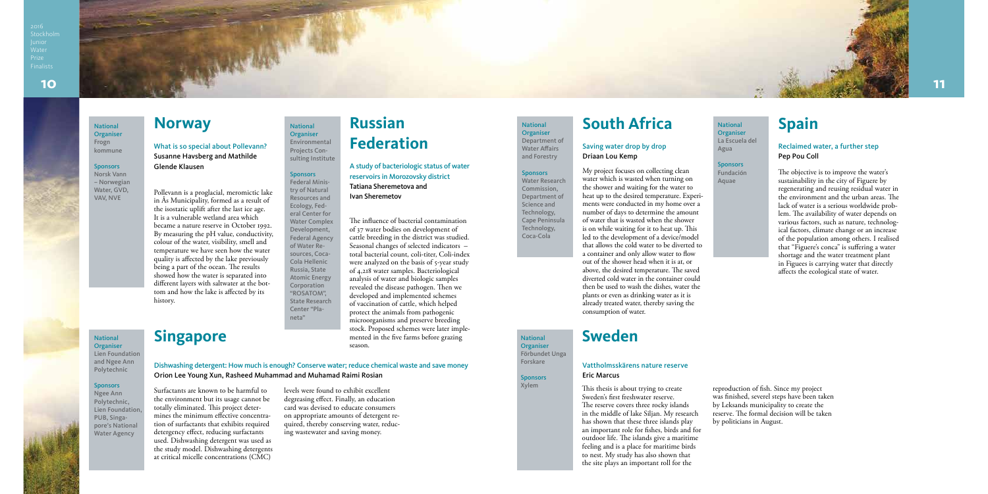Stockholm



## National **Spain**

Pollevann is a proglacial, meromictic lake in Ås Municipality, formed as a result of the isostatic uplift after the last ice age. It is a vulnerable wetland area which became a nature reserve in October 1992. By measuring the pH value, conductivity, colour of the water, visibility, smell and temperature we have seen how the water quality is affected by the lake previously being a part of the ocean. The results showed how the water is separated into different layers with saltwater at the bottom and how the lake is affected by its history.

What is so special about Pollevann? Susanne Havsberg and Mathilde Glende Klausen

> The influence of bacterial contamination of 37 water bodies on development of cattle breeding in the district was studied. Seasonal changes of selected indicators – total bacterial count, coli-titer, Coli-index were analyzed on the basis of 5-year study of 4,218 water samples. Bacteriological analysis of water and biologic samples revealed the disease pathogen. Then we developed and implemented schemes of vaccination of cattle, which helped protect the animals from pathogenic microorganisms and preserve breeding stock. Proposed schemes were later implemented in the five farms before grazing

### **National Organiser** Frogn kommune

**Sponsors** Norsk Vann A study of bacteriologic status of water reservoirs in Morozovsky district Tatiana Sheremetova and Ivan Sheremetov

**National Organiser** Lien Foundation and Ngee Ann Polytechnic Sponsors Ngee Ann Polytechnic, Lien Foundation, PUB, Singapore's National Water Agency

Surfactants are known to be harmful to the environment but its usage cannot be totally eliminated. This project determines the minimum effective concentration of surfactants that exhibits required detergency effect, reducing surfactants used. Dishwashing detergent was used as the study model. Dishwashing detergents at critical micelle concentrations (CMC)

levels were found to exhibit excellent degreasing effect. Finally, an education card was devised to educate consumers on appropriate amounts of detergent required, thereby conserving water, reducing wastewater and saving money.

season. State Research Center "Planeta"

Dishwashing detergent: How much is enough? Conserve water; reduce chemical waste and save money Orion Lee Young Xun, Rasheed Muhammad and Muhamad Raimi Rosian

## **Organiser** Department of

**Sponsors** Water Research

## **Norway**

# **Singapore**

### **Russian Federation** National **Organiser** Environmental

Projects Consulting Institute

Sponsors Federal Ministry of Natural Resources and Ecology, Federal Center for Water Complex Development, Federal Agency of Water Resources, Coca-Cola Hellenic Russia, State Atomic Energy **Corporation** "ROSATOM",

The objective is to improve the water's sustainability in the city of Figuere by regenerating and reusing residual water in the environment and the urban areas. The lack of water is a serious worldwide problem. The availability of water depends on various factors, such as nature, technological factors, climate change or an increase of the population among others. I realised that "Figuere's conca" is suffering a water shortage and the water treatment plant in Figuees is carrying water that directly affects the ecological state of water.

**Sponsors** Fundación Aquae

– Norwegian Water, GVD, VAV, NVE

My project focuses on collecting clean water which is wasted when turning on the shower and waiting for the water to heat up to the desired temperature. Experiments were conducted in my home over a number of days to determine the amount of water that is wasted when the shower is on while waiting for it to heat up. This led to the development of a device/model that allows the cold water to be diverted to a container and only allow water to flow out of the shower head when it is at, or above, the desired temperature. The saved diverted cold water in the container could then be used to wash the dishes, water the plants or even as drinking water as it is already treated water, thereby saving the consumption of water.

## Saving water drop by drop Driaan Lou Kemp

This thesis is about trying to create Sweden's first freshwater reserve. The reserve covers three rocky islands in the middle of lake Siljan. My research has shown that these three islands play an important role for fishes, birds and for outdoor life. The islands give a maritime feeling and is a place for maritime birds to nest. My study has also shown that the site plays an important roll for the

reproduction of fish. Since my project was finished, severel steps have been taken by Leksands municipality to create the reserve. The formal decision will be taken by politicians in August.

## Vattholmsskärens nature reserve Eric Marcus

## **Sweden**

## National **South Africa**

Water Affairs and Forestry

Commission, Department of Science and Technology, Cape Peninsula Technology, Coca-Cola

National Organiser Förbundet Unga Forskare **Sponsors** Xylem

## Reclaimed water, a further step Pep Pou Coll

La Escuela del

Agua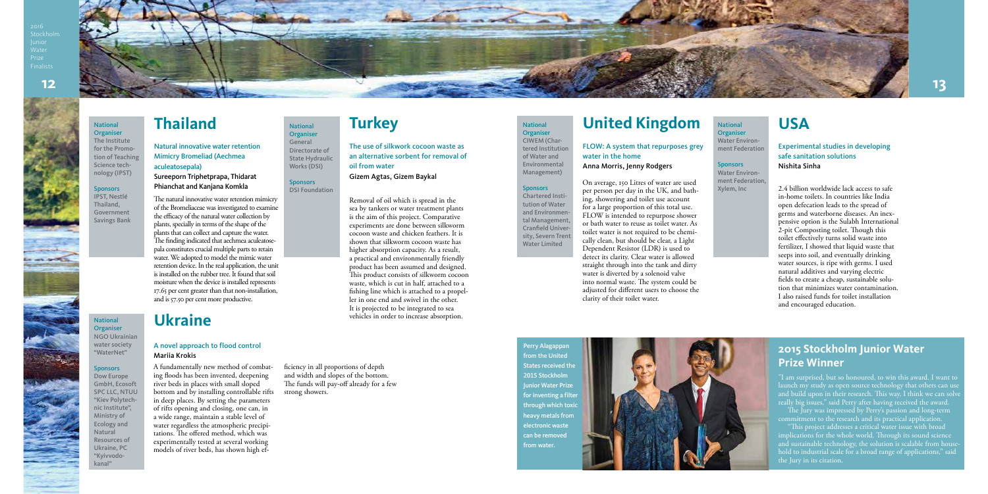Stockhol

 $\sim$ 



Removal of oil which is spread in the sea by tankers or water treatment plants is the aim of this project. Comparative experiments are done between silkworm cocoon waste and chicken feathers. It is shown that silkworm cocoon waste has higher absorption capacity. As a result, a practical and environmentally friendly product has been assumed and designed. This product consists of silkworm cocoon waste, which is cut in half, attached to a fishing line which is attached to a propeller in one end and swivel in the other. It is projected to be integrated to sea vehicles in order to increase absorption.

The use of silkwork cocoon waste as an alternative sorbent for removal of oil from water

Gizem Agtas, Gizem Baykal

A fundamentally new method of combating floods has been invented, deepening river beds in places with small sloped bottom and by installing controllable rifts in deep places. By setting the parameters of rifts opening and closing, one can, in a wide range, maintain a stable level of water regardless the atmospheric precipitations. The offered method, which was experimentally tested at several working models of river beds, has shown high ef-

**Sponsors** DSI Foundation

### ficiency in all proportions of depth and width and slopes of the bottom. The funds will pay-off already for a few strong showers.

**Turkey Example 20 Turkey United Kingdom** 

**Sponsors** Chartered Institution of Water and Environmental Management Cranfield University, Severn Trent Water Limited

## A novel approach to flood control Mariia Krokis

**Organiser** Water Environment Federation

On average, 150 Litres of water are used per person per day in the UK, and bathing, showering and toilet use account for a large proportion of this total use. FLOW is intended to repurpose shower or bath water to reuse as toilet water. As toilet water is not required to be chemically clean, but should be clear, a Light Dependent Resistor (LDR) is used to detect its clarity. Clear water is allowed straight through into the tank and dirty water is diverted by a solenoid valve into normal waste. The system could be adjusted for different users to choose the clarity of their toilet water.

### **Sponsors** Water Environment Federation, Xylem, Inc

## FLOW: A system that repurposes grey water in the home Anna Morris, Jenny Rodgers

## **Ukraine**

### National Organiser

NGO Ukrainian water society "WaterNet"

### **Sponsors**

Dow Europe GmbH, Ecosoft SPC LLC, NTUU "Kiev Polytechnic Institute", Ministry of Ecology and Natural Resources of Ukraine, PC "Kyivvodokanal"

National **Organiser** General Directorate of State Hydraulic Works (DSI)

National **Organiser** CIWEM (Chartered Institution of Water and Environmental Management)

> 2.4 billion worldwide lack access to safe in-home toilets. In countries like India open defecation leads to the spread of germs and waterborne diseases. An inexpensive option is the Sulabh International 2-pit Composting toilet. Though this toilet effectively turns solid waste into fertilizer, I showed that liquid waste that seeps into soil, and eventually drinking water sources, is ripe with germs. I used natural additives and varying electric fields to create a cheap, sustainable solution that minimizes water contamination. I also raised funds for toilet installation and encouraged education.

Experimental studies in developing safe sanitation solutions Nishita Sinha

## National **USA**

The natural innovative water retention mimicry of the Bromeliaceae was investigated to examine the efficacy of the natural water collection by plants, specially in terms of the shape of the plants that can collect and capture the water. The finding indicated that aechmea aculeatosepala constitutes crucial multiple parts to retain water. We adopted to model the mimic water retention device. In the real application, the unit is installed on the rubber tree. It found that soil moisture when the device is installed represents 17.65 per cent greater than that non-installation, and is 57.50 per cent more productive.

Natural innovative water retention Mimicry Bromeliad (Aechmea aculeatosepala)

### Sureeporn Triphetprapa, Thidarat Phianchat and Kanjana Komkla

## National **Thailand**

## Organiser

The Institute for the Promotion of Teaching Science technology (IPST)

### **Sponsors**

IPST, Nestlé Thailand, Government Savings Bank

## **2015 Stockholm Junior Water Prize Winner**

"I am surprised, but so honoured, to win this award. I want to launch my study as open source technology that others can use and build upon in their research. This way, I think we can solve really big issues," said Perry after having received the award.

The Jury was impressed by Perry's passion and long-term commitment to the research and its practical application.

implications for the whole world. Through its sound science and sustainable technology, the solution is scalable from household to industrial scale for a broad range of applications," said the Jury in its citation.

Perry Alagappan from the United States received the 2015 Stockholm Junior Water Prize for inventing a filter through which toxid heavy metals from electronic waste can be removed from water.